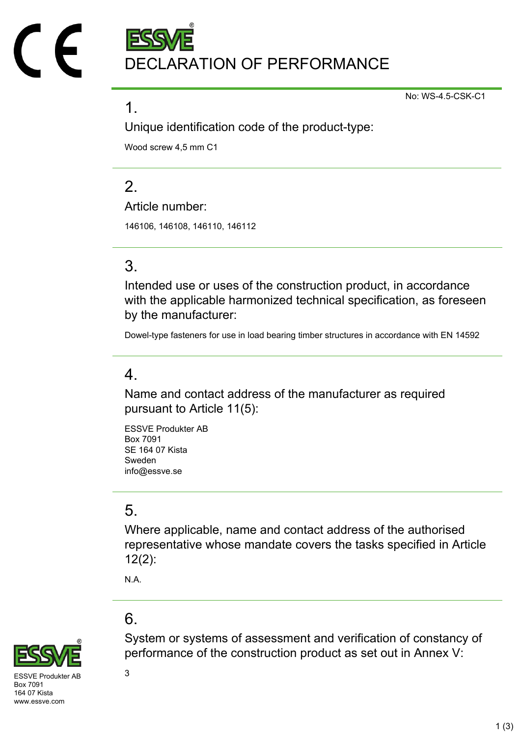DECLARATION OF PERFORMANCE

No: WS-4.5-CSK-C1

#### 1.

Unique identification code of the product-type:

Wood screw 4,5 mm C1

# $\mathcal{P}$

Article number:

146106, 146108, 146110, 146112

# 3.

Intended use or uses of the construction product, in accordance with the applicable harmonized technical specification, as foreseen by the manufacturer:

Dowel-type fasteners for use in load bearing timber structures in accordance with EN 14592

### 4.

Name and contact address of the manufacturer as required pursuant to Article 11(5):

ESSVE Produkter AB Box 7091 SE 164 07 Kista Sweden info@essve.se

# 5.

Where applicable, name and contact address of the authorised representative whose mandate covers the tasks specified in Article 12(2):

System or systems of assessment and verification of constancy of

performance of the construction product as set out in Annex V:

N.A.

# 6.



 $SVF$  Produkter AB  $3$ Box 7091 164 07 Kista www.essve.com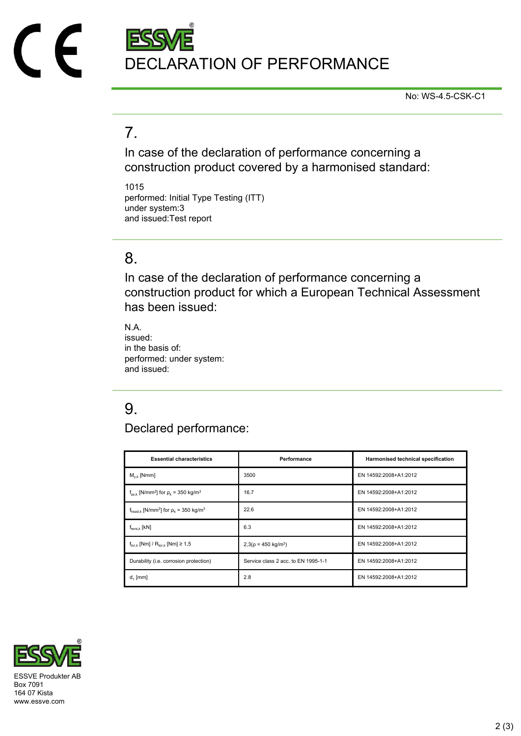

No: WS-4.5-CSK-C1

# 7.

In case of the declaration of performance concerning a construction product covered by a harmonised standard:

1015 performed: Initial Type Testing (ITT) under system:3 and issued:Test report

#### 8.

In case of the declaration of performance concerning a construction product for which a European Technical Assessment has been issued:

N.A. issued: in the basis of: performed: under system: and issued:

# 9.

Declared performance:

| <b>Essential characteristics</b>                                              | Performance                         | Harmonised technical specification |
|-------------------------------------------------------------------------------|-------------------------------------|------------------------------------|
| $M_{v k}$ [Nmm]                                                               | 3500                                | EN 14592:2008+A1:2012              |
| $f_{\text{ax k}}$ [N/mm <sup>2</sup> ] for $\rho_k$ = 350 kg/m <sup>3</sup>   | 16.7                                | EN 14592:2008+A1:2012              |
| $f_{\text{head},k}$ [N/mm <sup>2</sup> ] for $\rho_k$ = 350 kg/m <sup>3</sup> | 22.6                                | EN 14592:2008+A1:2012              |
| $f_{tens.k}$ [kN]                                                             | 6.3                                 | EN 14592:2008+A1:2012              |
| $f_{\text{tor }k}$ [Nm] / $R_{\text{tor }k}$ [Nm] $\geq 1.5$                  | $2,3(p = 450 \text{ kg/m}^3)$       | EN 14592:2008+A1:2012              |
| Durability (i.e. corrosion protection)                                        | Service class 2 acc. to EN 1995-1-1 | EN 14592:2008+A1:2012              |
| $d_1$ [mm]                                                                    | 2.8                                 | EN 14592:2008+A1:2012              |



Box 7091 164 07 Kista www.essve.com